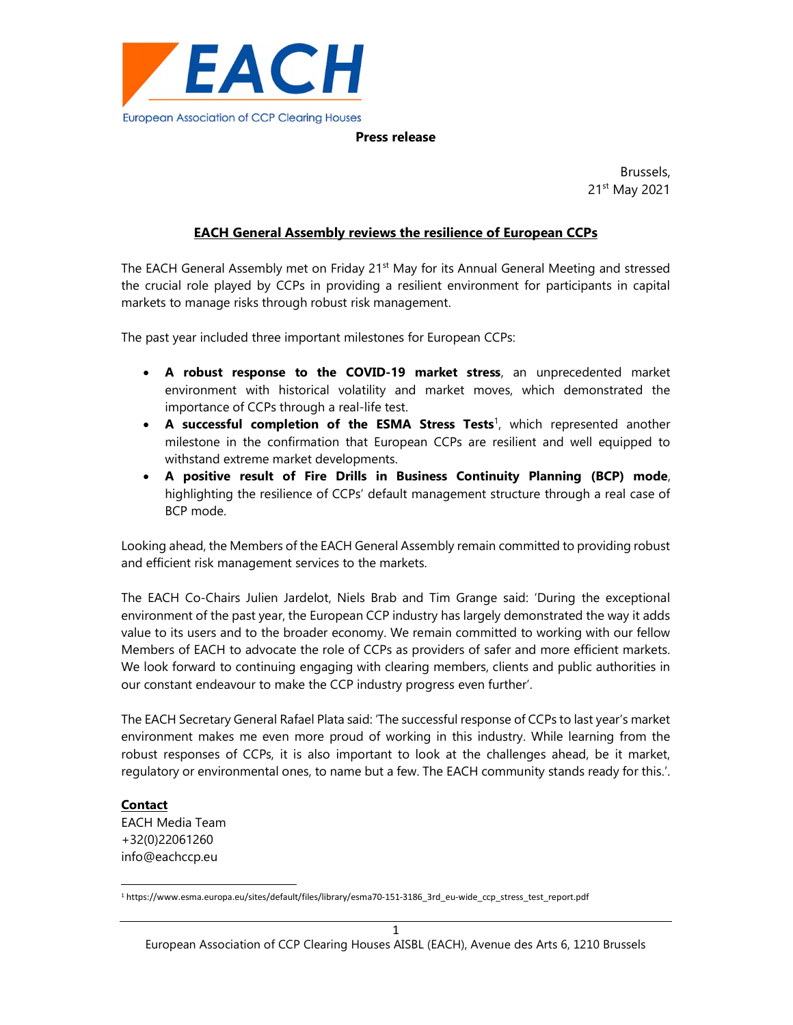

#### Press release

example, the contract of the contract of the contract of the Brussels, and the contract of the contract of the 21st May 2021

## EACH General Assembly reviews the resilience of European CCPs

The EACH General Assembly met on Friday 21<sup>st</sup> May for its Annual General Meeting and stressed the crucial role played by CCPs in providing a resilient environment for participants in capital markets to manage risks through robust risk management.

The past year included three important milestones for European CCPs:

- A robust response to the COVID-19 market stress, an unprecedented market environment with historical volatility and market moves, which demonstrated the importance of CCPs through a real-life test.
- A successful completion of the ESMA Stress Tests<sup>1</sup>, which represented another milestone in the confirmation that European CCPs are resilient and well equipped to withstand extreme market developments.
- A positive result of Fire Drills in Business Continuity Planning (BCP) mode, highlighting the resilience of CCPs' default management structure through a real case of BCP mode.

Looking ahead, the Members of the EACH General Assembly remain committed to providing robust and efficient risk management services to the markets.

The EACH Co-Chairs Julien Jardelot, Niels Brab and Tim Grange said: 'During the exceptional environment of the past year, the European CCP industry has largely demonstrated the way it adds value to its users and to the broader economy. We remain committed to working with our fellow Members of EACH to advocate the role of CCPs as providers of safer and more efficient markets. We look forward to continuing engaging with clearing members, clients and public authorities in our constant endeavour to make the CCP industry progress even further'.

The EACH Secretary General Rafael Plata said: 'The successful response of CCPs to last year's market environment makes me even more proud of working in this industry. While learning from the robust responses of CCPs, it is also important to look at the challenges ahead, be it market, regulatory or environmental ones, to name but a few. The EACH community stands ready for this.'.

### Contact

EACH Media Team +32(0)22061260 info@eachccp.eu

<sup>1</sup> https://www.esma.europa.eu/sites/default/files/library/esma70-151-3186\_3rd\_eu-wide\_ccp\_stress\_test\_report.pdf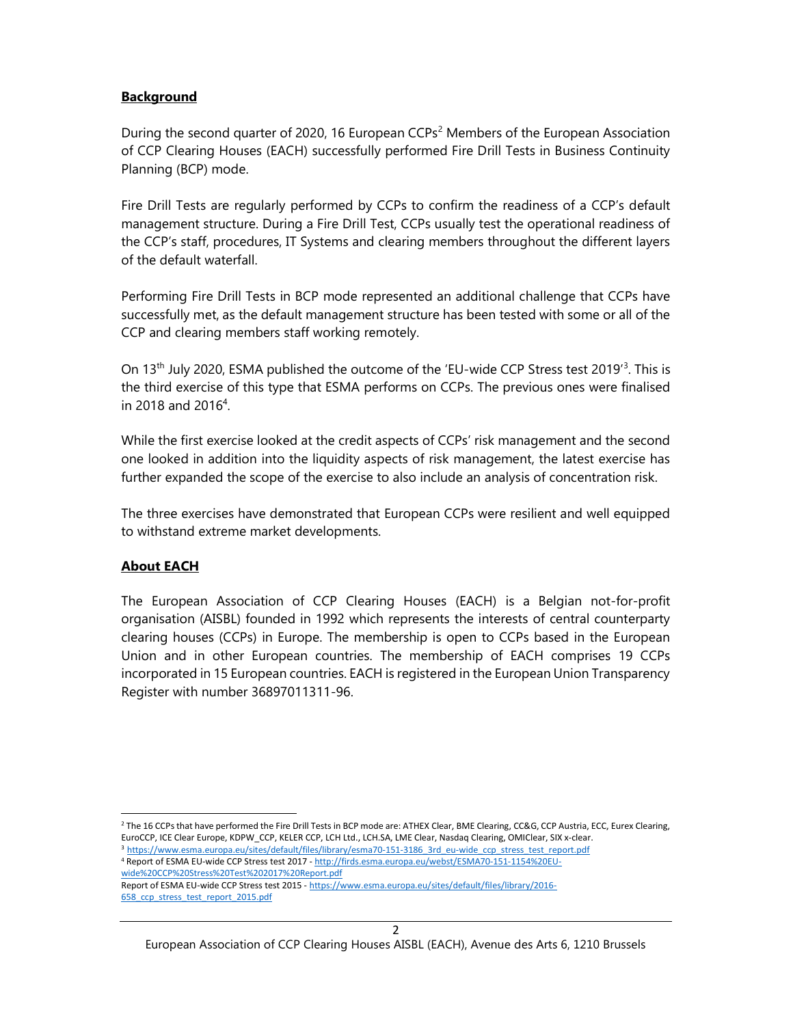# **Background**

During the second quarter of 2020, 16 European CCPs<sup>2</sup> Members of the European Association of CCP Clearing Houses (EACH) successfully performed Fire Drill Tests in Business Continuity Planning (BCP) mode.

Fire Drill Tests are regularly performed by CCPs to confirm the readiness of a CCP's default management structure. During a Fire Drill Test, CCPs usually test the operational readiness of the CCP's staff, procedures, IT Systems and clearing members throughout the different layers of the default waterfall.

Performing Fire Drill Tests in BCP mode represented an additional challenge that CCPs have successfully met, as the default management structure has been tested with some or all of the CCP and clearing members staff working remotely.

On 13<sup>th</sup> July 2020, ESMA published the outcome of the 'EU-wide CCP Stress test 2019<sup>3</sup>. This is the third exercise of this type that ESMA performs on CCPs. The previous ones were finalised in 2018 and 2016<sup>4</sup>.

While the first exercise looked at the credit aspects of CCPs' risk management and the second one looked in addition into the liquidity aspects of risk management, the latest exercise has further expanded the scope of the exercise to also include an analysis of concentration risk.

The three exercises have demonstrated that European CCPs were resilient and well equipped to withstand extreme market developments.

# About EACH

The European Association of CCP Clearing Houses (EACH) is a Belgian not-for-profit organisation (AISBL) founded in 1992 which represents the interests of central counterparty clearing houses (CCPs) in Europe. The membership is open to CCPs based in the European Union and in other European countries. The membership of EACH comprises 19 CCPs incorporated in 15 European countries. EACH is registered in the European Union Transparency Register with number 36897011311-96.

<sup>2</sup> The 16 CCPs that have performed the Fire Drill Tests in BCP mode are: ATHEX Clear, BME Clearing, CC&G, CCP Austria, ECC, Eurex Clearing, EuroCCP, ICE Clear Europe, KDPW\_CCP, KELER CCP, LCH Ltd., LCH.SA, LME Clear, Nasdaq Clearing, OMIClear, SIX x-clear. 3 https://www.esma.europa.eu/sites/default/files/library/esma70-151-3186 3rd eu-wide ccp stress test report.pdf

Report of ESMA EU-wide CCP Stress test 2015 - https://www.esma.europa.eu/sites/default/files/library/2016- 658 ccp stress test report 2015.pdf

<sup>4</sup> Report of ESMA EU-wide CCP Stress test 2017 - http://firds.esma.europa.eu/webst/ESMA70-151-1154%20EUwide%20CCP%20Stress%20Test%202017%20Report.pdf